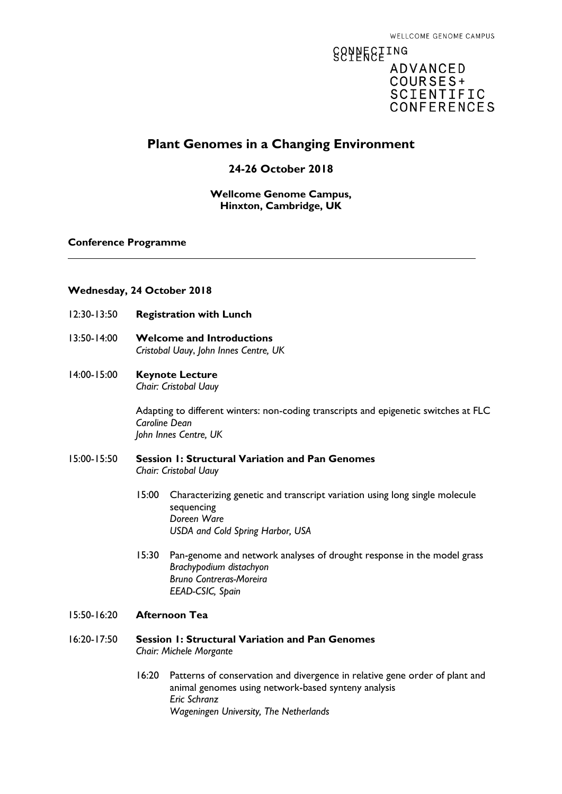# **88AFESEING ADVANCED** COURSES+ SCIENTIFIC **CONFERENCES**

# **Plant Genomes in a Changing Environment**

# **24-26 October 2018**

## **Wellcome Genome Campus, Hinxton, Cambridge, UK**

### **Conference Programme**

### **Wednesday, 24 October 2018**

- 12:30-13:50 **Registration with Lunch**
- 13:50-14:00 **Welcome and Introductions** *Cristobal Uauy*, *John Innes Centre, UK*

#### 14:00-15:00 **Keynote Lecture** *Chair: Cristobal Uauy*

Adapting to different winters: non-coding transcripts and epigenetic switches at FLC *Caroline Dean John Innes Centre, UK*

# 15:00-15:50 **Session 1: Structural Variation and Pan Genomes**  *Chair: Cristobal Uauy*

- 15:00 Characterizing genetic and transcript variation using long single molecule sequencing *Doreen Ware USDA and Cold Spring Harbor, USA*
- 15:30 Pan-genome and network analyses of drought response in the model grass *Brachypodium distachyon Bruno Contreras-Moreira EEAD-CSIC, Spain*
- 15:50-16:20 **Afternoon Tea**
- 16:20-17:50 **Session 1: Structural Variation and Pan Genomes** *Chair: Michele Morgante*
	- 16:20 Patterns of conservation and divergence in relative gene order of plant and animal genomes using network-based synteny analysis *Eric Schranz Wageningen University, The Netherlands*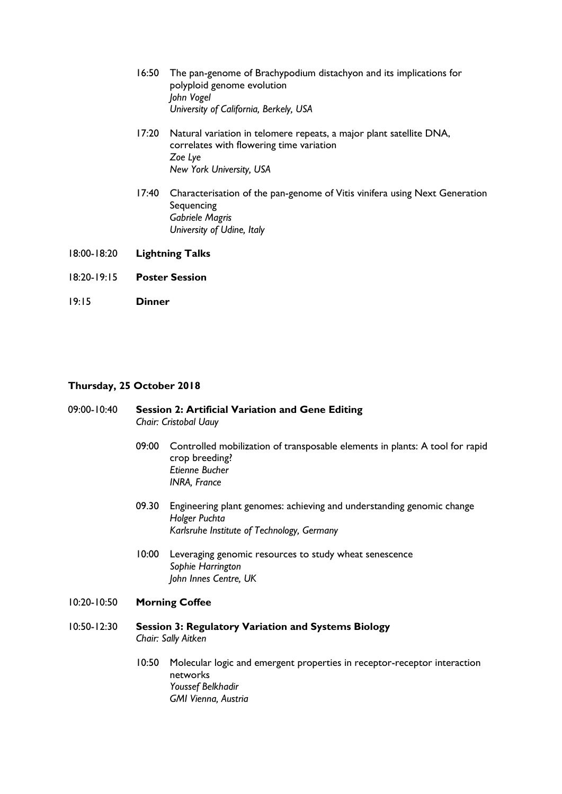- 16:50 The pan-genome of Brachypodium distachyon and its implications for polyploid genome evolution *John Vogel University of California, Berkely, USA*
- 17:20 Natural variation in telomere repeats, a major plant satellite DNA, correlates with flowering time variation *Zoe Lye New York University, USA*
- 17:40 Characterisation of the pan-genome of Vitis vinifera using Next Generation **Sequencing** *Gabriele Magris University of Udine, Italy*
- 18:00-18:20 **Lightning Talks**
- 18:20-19:15 **Poster Session**
- 19:15 **Dinner**

#### **Thursday, 25 October 2018**

### 09:00-10:40 **Session 2: Artificial Variation and Gene Editing** *Chair: Cristobal Uauy*

- 09:00 Controlled mobilization of transposable elements in plants: A tool for rapid crop breeding? *Etienne Bucher INRA, France*
- 09.30 Engineering plant genomes: achieving and understanding genomic change *Holger Puchta Karlsruhe Institute of Technology, Germany*
- 10:00 Leveraging genomic resources to study wheat senescence *Sophie Harrington John Innes Centre, UK*

### 10:20-10:50 **Morning Coffee**

- 10:50-12:30 **Session 3: Regulatory Variation and Systems Biology** *Chair: Sally Aitken*
	- 10:50 Molecular logic and emergent properties in receptor-receptor interaction networks *Youssef Belkhadir GMI Vienna, Austria*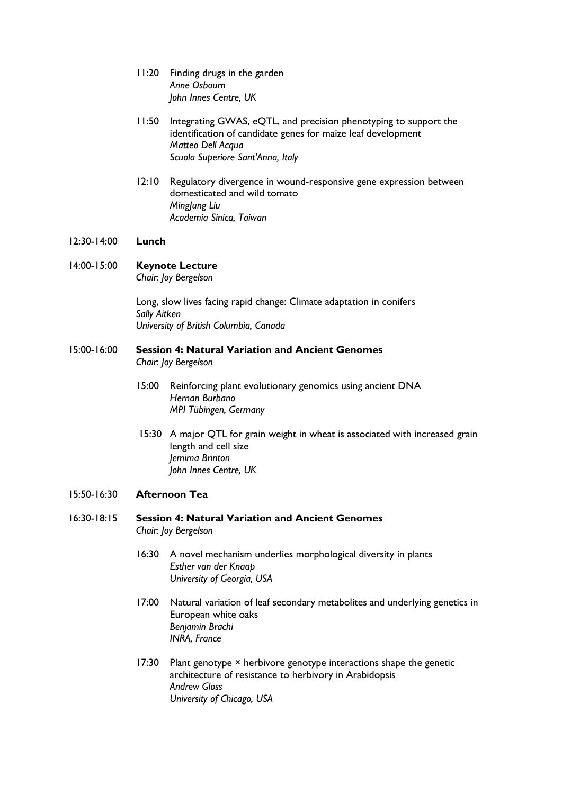- 11:20 Finding drugs in the garden *Anne Osbourn John Innes Centre, UK*
- 11:50 Integrating GWAS, eQTL, and precision phenotyping to support the identification of candidate genes for maize leaf development *Matteo Dell Acqua Scuola Superiore Sant'Anna, Italy*
- 12:10 Regulatory divergence in wound-responsive gene expression between domesticated and wild tomato *MingJung Liu Academia Sinica, Taiwan*

#### 12:30-14:00 **Lunch**

# 14:00-15:00 **Keynote Lecture**

*Chair: Joy Bergelson*

Long, slow lives facing rapid change: Climate adaptation in conifers *Sally Aitken University of British Columbia, Canada*

# 15:00-16:00 **Session 4: Natural Variation and Ancient Genomes**

*Chair: Joy Bergelson*

- 15:00 Reinforcing plant evolutionary genomics using ancient DNA *Hernan Burbano MPI Tübingen, Germany*
- 15:30 A major QTL for grain weight in wheat is associated with increased grain length and cell size *Jemima Brinton John Innes Centre, UK*

# 15:50-16:30 **Afternoon Tea**

### 16:30-18:15 **Session 4: Natural Variation and Ancient Genomes** *Chair: Joy Bergelson*

- 16:30 A novel mechanism underlies morphological diversity in plants *Esther van der Knaap University of Georgia, USA*
- 17:00 Natural variation of leaf secondary metabolites and underlying genetics in European white oaks *Benjamin Brachi INRA, France*
- 17:30 Plant genotype × herbivore genotype interactions shape the genetic architecture of resistance to herbivory in Arabidopsis *Andrew Gloss University of Chicago, USA*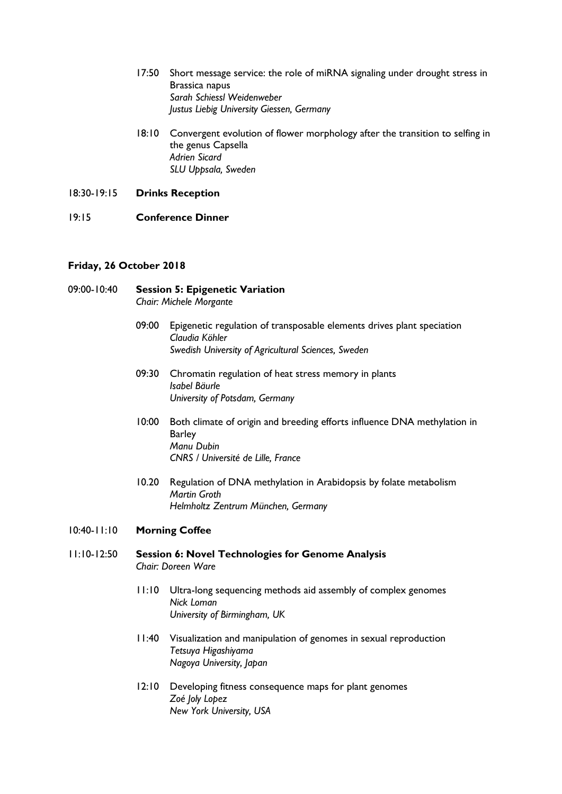- 17:50 Short message service: the role of miRNA signaling under drought stress in Brassica napus *Sarah Schiessl Weidenweber Justus Liebig University Giessen, Germany*
- 18:10 Convergent evolution of flower morphology after the transition to selfing in the genus Capsella *Adrien Sicard SLU Uppsala, Sweden*

18:30-19:15 **Drinks Reception**

# 19:15 **Conference Dinner**

# **Friday, 26 October 2018**

# 09:00-10:40 **Session 5: Epigenetic Variation** *Chair: Michele Morgante*

- 09:00 Epigenetic regulation of transposable elements drives plant speciation *Claudia Köhler Swedish University of Agricultural Sciences, Sweden*
- 09:30 Chromatin regulation of heat stress memory in plants *Isabel Bäurle University of Potsdam, Germany*
- 10:00 Both climate of origin and breeding efforts influence DNA methylation in Barley *Manu Dubin CNRS / Université de Lille, France*
- 10.20 Regulation of DNA methylation in Arabidopsis by folate metabolism *Martin Groth Helmholtz Zentrum München, Germany*

## 10:40-11:10 **Morning Coffee**

- 11:10-12:50 **Session 6: Novel Technologies for Genome Analysis** *Chair: Doreen Ware* 
	- 11:10 Ultra-long sequencing methods aid assembly of complex genomes *Nick Loman University of Birmingham, UK*
	- 11:40 Visualization and manipulation of genomes in sexual reproduction *Tetsuya Higashiyama Nagoya University, Japan*
	- 12:10 Developing fitness consequence maps for plant genomes *Zoé Joly Lopez New York University, USA*